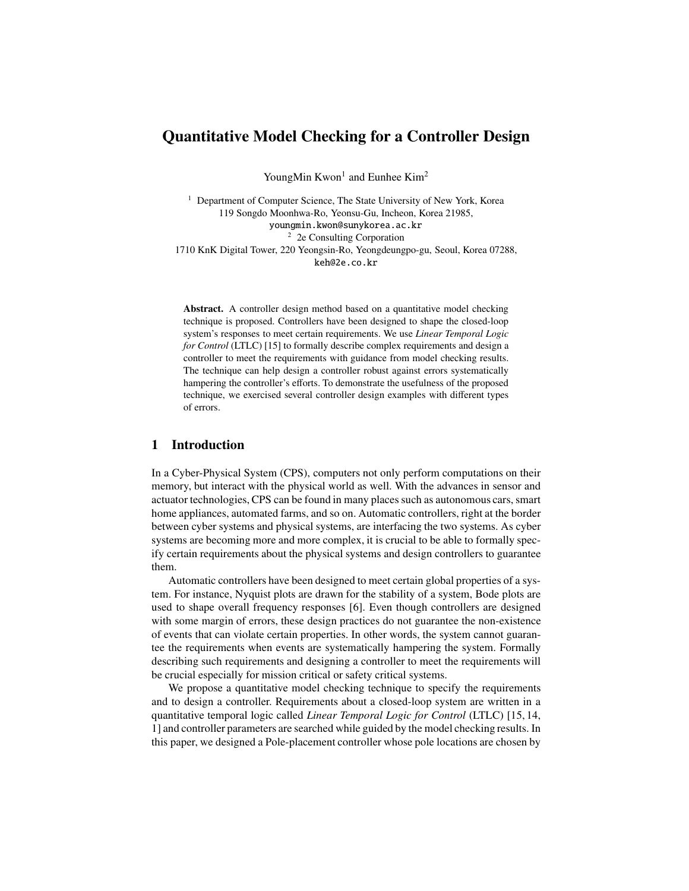# Quantitative Model Checking for a Controller Design

YoungMin  $K$ won<sup>1</sup> and Eunhee  $Kim<sup>2</sup>$ 

<sup>1</sup> Department of Computer Science, The State University of New York, Korea 119 Songdo Moonhwa-Ro, Yeonsu-Gu, Incheon, Korea 21985, youngmin.kwon@sunykorea.ac.kr <sup>2</sup> 2e Consulting Corporation 1710 KnK Digital Tower, 220 Yeongsin-Ro, Yeongdeungpo-gu, Seoul, Korea 07288, keh@2e.co.kr

Abstract. A controller design method based on a quantitative model checking technique is proposed. Controllers have been designed to shape the closed-loop system's responses to meet certain requirements. We use *Linear Temporal Logic for Control* (LTLC) [15] to formally describe complex requirements and design a controller to meet the requirements with guidance from model checking results. The technique can help design a controller robust against errors systematically hampering the controller's efforts. To demonstrate the usefulness of the proposed technique, we exercised several controller design examples with different types of errors.

### 1 Introduction

In a Cyber-Physical System (CPS), computers not only perform computations on their memory, but interact with the physical world as well. With the advances in sensor and actuator technologies, CPS can be found in many places such as autonomous cars, smart home appliances, automated farms, and so on. Automatic controllers, right at the border between cyber systems and physical systems, are interfacing the two systems. As cyber systems are becoming more and more complex, it is crucial to be able to formally specify certain requirements about the physical systems and design controllers to guarantee them.

Automatic controllers have been designed to meet certain global properties of a system. For instance, Nyquist plots are drawn for the stability of a system, Bode plots are used to shape overall frequency responses [6]. Even though controllers are designed with some margin of errors, these design practices do not guarantee the non-existence of events that can violate certain properties. In other words, the system cannot guarantee the requirements when events are systematically hampering the system. Formally describing such requirements and designing a controller to meet the requirements will be crucial especially for mission critical or safety critical systems.

We propose a quantitative model checking technique to specify the requirements and to design a controller. Requirements about a closed-loop system are written in a quantitative temporal logic called *Linear Temporal Logic for Control* (LTLC) [15, 14, 1] and controller parameters are searched while guided by the model checking results. In this paper, we designed a Pole-placement controller whose pole locations are chosen by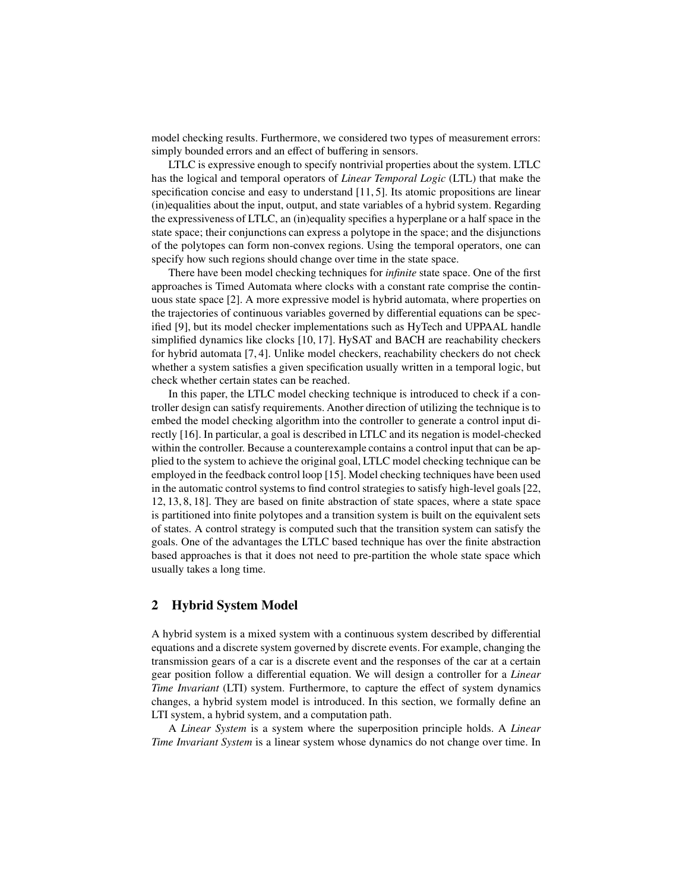model checking results. Furthermore, we considered two types of measurement errors: simply bounded errors and an effect of buffering in sensors.

LTLC is expressive enough to specify nontrivial properties about the system. LTLC has the logical and temporal operators of *Linear Temporal Logic* (LTL) that make the specification concise and easy to understand [11, 5]. Its atomic propositions are linear (in)equalities about the input, output, and state variables of a hybrid system. Regarding the expressiveness of LTLC, an (in)equality specifies a hyperplane or a half space in the state space; their conjunctions can express a polytope in the space; and the disjunctions of the polytopes can form non-convex regions. Using the temporal operators, one can specify how such regions should change over time in the state space.

There have been model checking techniques for *infinite* state space. One of the first approaches is Timed Automata where clocks with a constant rate comprise the continuous state space [2]. A more expressive model is hybrid automata, where properties on the trajectories of continuous variables governed by differential equations can be specified [9], but its model checker implementations such as HyTech and UPPAAL handle simplified dynamics like clocks [10, 17]. HySAT and BACH are reachability checkers for hybrid automata [7, 4]. Unlike model checkers, reachability checkers do not check whether a system satisfies a given specification usually written in a temporal logic, but check whether certain states can be reached.

In this paper, the LTLC model checking technique is introduced to check if a controller design can satisfy requirements. Another direction of utilizing the technique is to embed the model checking algorithm into the controller to generate a control input directly [16]. In particular, a goal is described in LTLC and its negation is model-checked within the controller. Because a counterexample contains a control input that can be applied to the system to achieve the original goal, LTLC model checking technique can be employed in the feedback control loop [15]. Model checking techniques have been used in the automatic control systems to find control strategies to satisfy high-level goals [22, 12, 13, 8, 18]. They are based on finite abstraction of state spaces, where a state space is partitioned into finite polytopes and a transition system is built on the equivalent sets of states. A control strategy is computed such that the transition system can satisfy the goals. One of the advantages the LTLC based technique has over the finite abstraction based approaches is that it does not need to pre-partition the whole state space which usually takes a long time.

# 2 Hybrid System Model

A hybrid system is a mixed system with a continuous system described by differential equations and a discrete system governed by discrete events. For example, changing the transmission gears of a car is a discrete event and the responses of the car at a certain gear position follow a differential equation. We will design a controller for a *Linear Time Invariant* (LTI) system. Furthermore, to capture the effect of system dynamics changes, a hybrid system model is introduced. In this section, we formally define an LTI system, a hybrid system, and a computation path.

A *Linear System* is a system where the superposition principle holds. A *Linear Time Invariant System* is a linear system whose dynamics do not change over time. In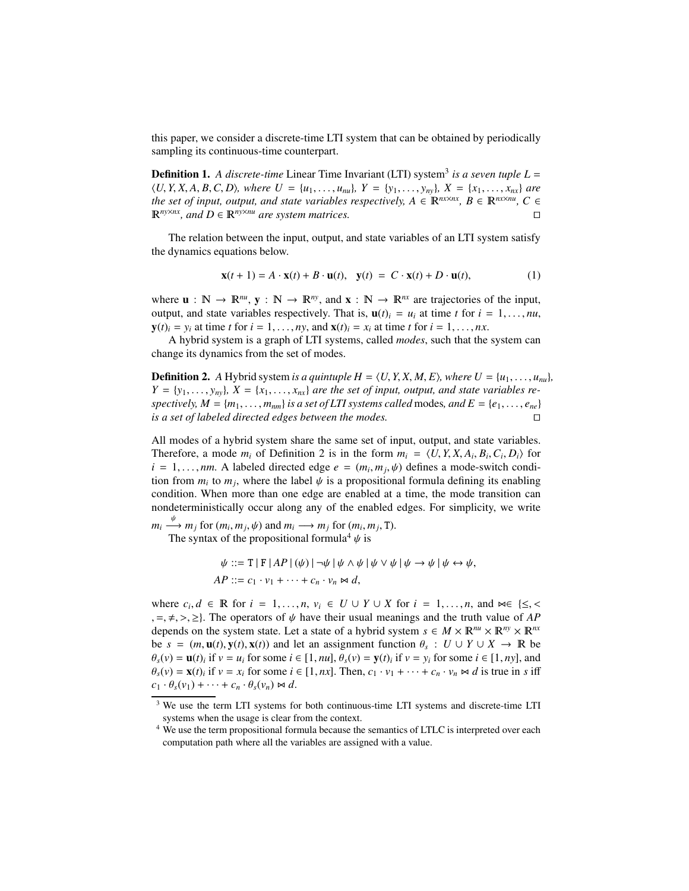this paper, we consider a discrete-time LTI system that can be obtained by periodically sampling its continuous-time counterpart.

**Definition 1.** A discrete-time Linear Time Invariant (LTI) system<sup>3</sup> is a seven tuple L =  $\langle U, Y, X, A, B, C, D \rangle$ , where  $U = \{u_1, \ldots, u_{nu}\}, Y = \{y_1, \ldots, y_{nv}\}, X = \{x_1, \ldots, x_{nx}\}$  are *the set of input, output, and state variables respectively,*  $A \in \mathbb{R}^{n \times n \times n}$ ,  $B \in \mathbb{R}^{n \times n \times n}$ ,  $C \in$  $\mathbb{R}^{n_y \times n_x}$ , and  $D \in \mathbb{R}^{n_y \times n_u}$  are system matrices. □

The relation between the input, output, and state variables of an LTI system satisfy the dynamics equations below.

$$
\mathbf{x}(t+1) = A \cdot \mathbf{x}(t) + B \cdot \mathbf{u}(t), \quad \mathbf{y}(t) = C \cdot \mathbf{x}(t) + D \cdot \mathbf{u}(t), \tag{1}
$$

where  $\mathbf{u} : \mathbb{N} \to \mathbb{R}^{n\mu}$ ,  $\mathbf{y} : \mathbb{N} \to \mathbb{R}^{n\gamma}$ , and  $\mathbf{x} : \mathbb{N} \to \mathbb{R}^{n\chi}$  are trajectories of the input, output, and state variables respectively. That is,  $\mathbf{u}(t)_i = u_i$  at time *t* for  $i = 1, \ldots, nu$ ,  $y(t)_i = y_i$  at time *t* for  $i = 1, \ldots, ny$ , and  $x(t)_i = x_i$  at time *t* for  $i = 1, \ldots, nx$ .

A hybrid system is a graph of LTI systems, called *modes*, such that the system can change its dynamics from the set of modes.

**Definition 2.** *A* Hybrid system *is a quintuple H* =  $\langle U, Y, X, M, E \rangle$ *, where U* = { $u_1, \ldots, u_m$ }*,*  $Y = \{y_1, \ldots, y_{n_y}\}\$ ,  $X = \{x_1, \ldots, x_{nx}\}$  *are the set of input, output, and state variables respectively,*  $M = \{m_1, \ldots, m_{nm}\}$  *is a set of LTI systems called* modes, and  $E = \{e_1, \ldots, e_{ne}\}$ *is a set of labeled directed edges between the modes.* ⊓⊔

All modes of a hybrid system share the same set of input, output, and state variables. Therefore, a mode  $m_i$  of Definition 2 is in the form  $m_i = \langle U, Y, X, A_i, B_i, C_i, D_i \rangle$  for  $i = 1, \ldots, nm$ . A labeled directed edge  $e = (m_i, m_j, \psi)$  defines a mode-switch condition from  $m_i$  to  $m_j$ , where the label  $\psi$  is a propositional formula defining its enabling condition. When more than one edge are enabled at a time, the mode transition can nondeterministically occur along any of the enabled edges. For simplicity, we write

 $m_i \stackrel{\psi}{\longrightarrow} m_j$  for  $(m_i, m_j, \psi)$  and  $m_i \longrightarrow m_j$  for  $(m_i, m_j, T)$ .

The syntax of the propositional formula<sup>4</sup>  $\psi$  is

$$
\psi ::= T | F | AP | (\psi) | \neg \psi | \psi \land \psi | \psi \lor \psi | \psi \rightarrow \psi | \psi \leftrightarrow \psi,
$$
  
AP ::=  $c_1 \cdot v_1 + \dots + c_n \cdot v_n \bowtie d$ ,

where  $c_i, d \in \mathbb{R}$  for  $i = 1, \ldots, n, v_i \in U \cup Y \cup X$  for  $i = 1, \ldots, n$ , and  $\bowtie \in \{\le, < \}$  $, =, \ne, >, \geq$ . The operators of  $\psi$  have their usual meanings and the truth value of *AP* depends on the system state. Let a state of a hybrid system  $s \in M \times \mathbb{R}^{nu} \times \mathbb{R}^{nv} \times \mathbb{R}^{nx}$ be  $s = (m, \mathbf{u}(t), \mathbf{y}(t), \mathbf{x}(t))$  and let an assignment function  $\theta_s : U \cup Y \cup X \to \mathbb{R}$  be  $\theta_s(v) = \mathbf{u}(t)_i$  if  $v = u_i$  for some  $i \in [1, nu]$ ,  $\theta_s(v) = \mathbf{y}(t)_i$  if  $v = y_i$  for some  $i \in [1, ny]$ , and  $\theta_s(v) = \mathbf{x}(t)$  if  $v = x_i$  for some  $i \in [1, nx]$ . Then,  $c_1 \cdot v_1 + \cdots + c_n \cdot v_n \bowtie d$  is true in *s* iff  $c_1 \cdot \theta_s(v_1) + \cdots + c_n \cdot \theta_s(v_n) \bowtie d.$ 

<sup>&</sup>lt;sup>3</sup> We use the term LTI systems for both continuous-time LTI systems and discrete-time LTI systems when the usage is clear from the context.

<sup>&</sup>lt;sup>4</sup> We use the term propositional formula because the semantics of LTLC is interpreted over each computation path where all the variables are assigned with a value.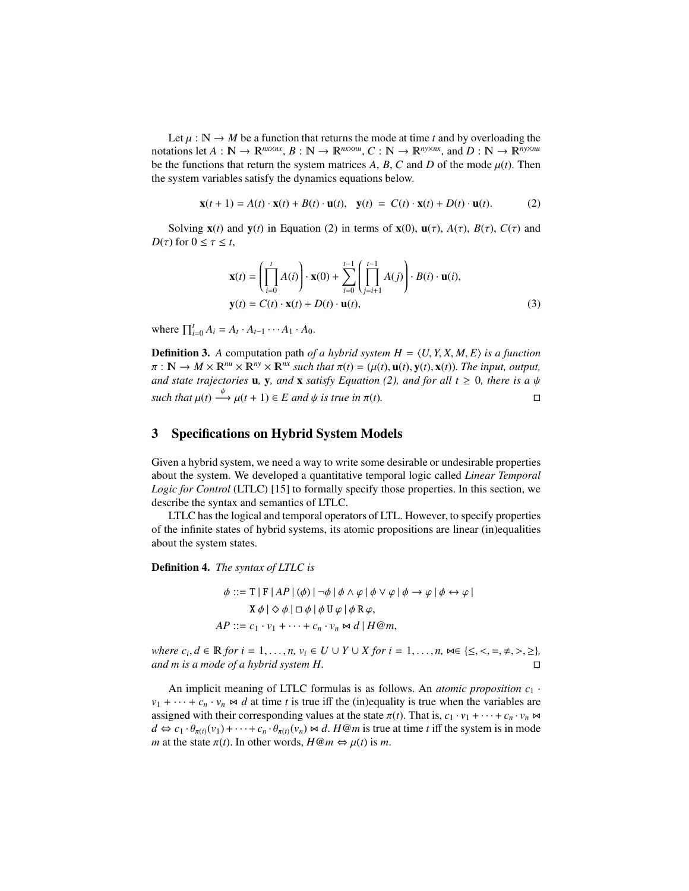Let  $\mu : \mathbb{N} \to M$  be a function that returns the mode at time *t* and by overloading the notations let  $A : \mathbb{N} \to \mathbb{R}^{n \times \times n \times n}$ ,  $B : \mathbb{N} \to \mathbb{R}^{n \times \times n \times n}$ ,  $C : \mathbb{N} \to \mathbb{R}^{n \times \times n \times n}$ , and  $D : \mathbb{N} \to \mathbb{R}^{n \times \times n \times n}$ be the functions that return the system matrices  $A$ ,  $B$ ,  $C$  and  $D$  of the mode  $\mu(t)$ . Then the system variables satisfy the dynamics equations below.

$$
\mathbf{x}(t+1) = A(t) \cdot \mathbf{x}(t) + B(t) \cdot \mathbf{u}(t), \quad \mathbf{y}(t) = C(t) \cdot \mathbf{x}(t) + D(t) \cdot \mathbf{u}(t). \tag{2}
$$

Solving  $\mathbf{x}(t)$  and  $\mathbf{y}(t)$  in Equation (2) in terms of  $\mathbf{x}(0)$ ,  $\mathbf{u}(\tau)$ ,  $A(\tau)$ ,  $B(\tau)$ ,  $C(\tau)$  and *D*( $\tau$ ) for  $0 \leq \tau \leq t$ ,

$$
\mathbf{x}(t) = \left(\prod_{i=0}^{t} A(i)\right) \cdot \mathbf{x}(0) + \sum_{i=0}^{t-1} \left(\prod_{j=i+1}^{t-1} A(j)\right) \cdot B(i) \cdot \mathbf{u}(i),
$$
  
\n
$$
\mathbf{y}(t) = C(t) \cdot \mathbf{x}(t) + D(t) \cdot \mathbf{u}(t),
$$
\n(3)

where  $\prod_{i=0}^{t} A_i = A_t \cdot A_{t-1} \cdots A_1 \cdot A_0$ .

**Definition 3.** A computation path *of a hybrid system H* =  $\langle U, Y, X, M, E \rangle$  *is a function*  $\pi : \mathbb{N} \to M \times \mathbb{R}^{nu} \times \mathbb{R}^{nv} \times \mathbb{R}^{nx}$  such that  $\pi(t) = (\mu(t), \mathbf{u}(t), \mathbf{y}(t), \mathbf{x}(t))$ . The input, output, *and state trajectories* **u**, **y**, and **x** *satisfy Equation* (2), and for all  $t \ge 0$ , there is a  $\psi$  $\Rightarrow$   $\mu(t) \stackrel{\psi}{\longrightarrow} \mu(t+1) \in E$  and  $\psi$  *is true in*  $\pi(t)$ *.* □

# 3 Specifications on Hybrid System Models

Given a hybrid system, we need a way to write some desirable or undesirable properties about the system. We developed a quantitative temporal logic called *Linear Temporal Logic for Control* (LTLC) [15] to formally specify those properties. In this section, we describe the syntax and semantics of LTLC.

LTLC has the logical and temporal operators of LTL. However, to specify properties of the infinite states of hybrid systems, its atomic propositions are linear (in)equalities about the system states.

Definition 4. *The syntax of LTLC is*

 $\phi ::= \mathsf{T} | \mathsf{F} | A P | (\phi) | \neg \phi | \phi \wedge \varphi | \phi \vee \varphi | \phi \rightarrow \varphi | \phi \leftrightarrow \varphi |$  $X \phi \vert \Diamond \phi \vert \Box \phi \vert \phi U \varphi \vert \phi R \varphi,$  $AP ::= c_1 \cdot v_1 + \cdots + c_n \cdot v_n \bowtie d \mid H@m,$ 

 $where \ c_i, d \in \mathbb{R} \ for \ i = 1, \ldots, n, \ v_i \in U \cup Y \cup X \ for \ i = 1, \ldots, n, \ \forall i \in \{ \leq, \leq, =, \neq, >, \geq \},\$ *and m is a mode of a hybrid system H.* ⊓⊔

An implicit meaning of LTLC formulas is as follows. An *atomic proposition*  $c_1$ .  $v_1 + \cdots + c_n \cdot v_n \bowtie d$  at time *t* is true iff the (in)equality is true when the variables are assigned with their corresponding values at the state  $\pi(t)$ . That is,  $c_1 \cdot v_1 + \cdots + c_n \cdot v_n \bowtie$  $d \Leftrightarrow c_1 \cdot \theta_{\pi(t)}(v_1) + \cdots + c_n \cdot \theta_{\pi(t)}(v_n) \bowtie d$ . *H*@*m* is true at time *t* iff the system is in mode *m* at the state  $\pi(t)$ . In other words,  $H@m \Leftrightarrow \mu(t)$  is *m*.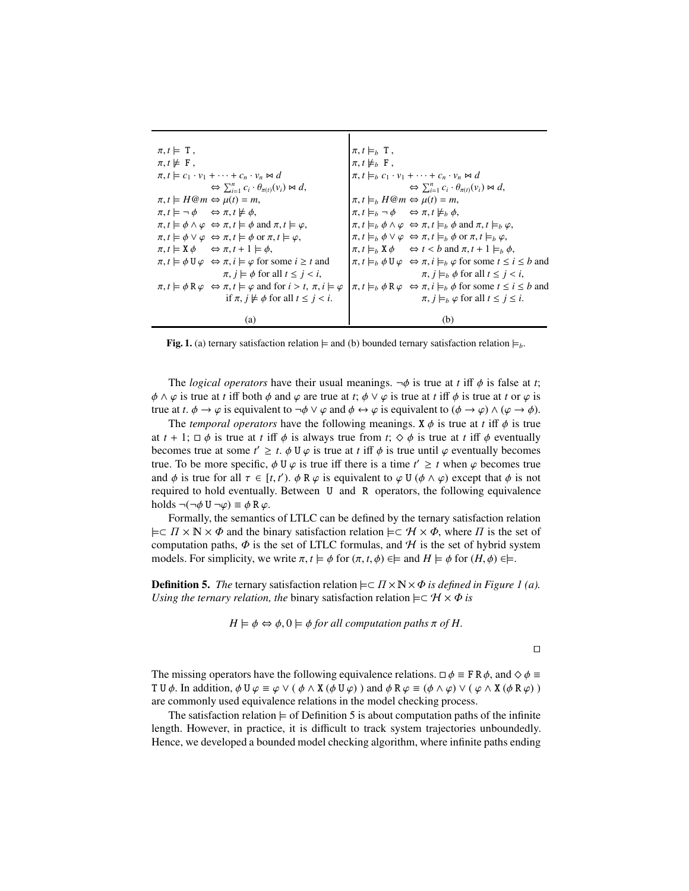| $\pi, t \models T$ ,                                                                                                   | $\pi, t \models_b T$ ,                                                                                                |
|------------------------------------------------------------------------------------------------------------------------|-----------------------------------------------------------------------------------------------------------------------|
| $\pi, t \not\models F$ ,                                                                                               | $\pi, t \not\models_b F$ ,                                                                                            |
| $\pi, t \models c_1 \cdot v_1 + \cdots + c_n \cdot v_n \bowtie d$                                                      | $\pi, t \models_b c_1 \cdot v_1 + \cdots + c_n \cdot v_n \bowtie d$                                                   |
| $\Leftrightarrow \sum_{i=1}^{n} c_i \cdot \theta_{\pi(i)}(v_i) \bowtie d$ ,                                            | $\Leftrightarrow \sum_{i=1}^n c_i \cdot \theta_{\pi(i)}(v_i) \bowtie d,$                                              |
| $\pi, t \models H@m \Leftrightarrow \mu(t) = m$ ,                                                                      | $\pi, t \models_b H @ m \Leftrightarrow \mu(t) = m,$                                                                  |
| $\pi, t \models \neg \phi \iff \pi, t \not\models \phi$ ,                                                              | $\pi, t \models_b \neg \phi \iff \pi, t \not\models_b \phi$ ,                                                         |
| $\pi, t \models \phi \land \varphi \Leftrightarrow \pi, t \models \phi \text{ and } \pi, t \models \varphi$ ,          | $\pi, t \models_b \phi \land \varphi \Leftrightarrow \pi, t \models_b \phi \text{ and } \pi, t \models_b \varphi$ ,   |
| $\pi, t \models \phi \lor \varphi \Leftrightarrow \pi, t \models \phi \text{ or } \pi, t \models \varphi$              | $\pi, t \models_h \phi \lor \varphi \Leftrightarrow \pi, t \models_h \phi \text{ or } \pi, t \models_h \varphi$       |
| $\pi, t \models X \phi \iff \pi, t + 1 \models \phi$                                                                   | $\pi, t \models_b X \phi \iff t < b \text{ and } \pi, t + 1 \models_b \phi,$                                          |
| $\pi, t \models \phi \cup \varphi \iff \pi, i \models \varphi$ for some $i \geq t$ and                                 | $\pi, t \models_b \phi \cup \varphi \Leftrightarrow \pi, i \models_b \varphi$ for some $t \leq i \leq b$ and          |
| $\pi, i \models \phi$ for all $t \leq i < i$ ,                                                                         | $\pi, j \models_b \phi$ for all $t \leq j < i$ ,                                                                      |
| $\pi, t \models \phi \& \varphi \Leftrightarrow \pi, t \models \varphi \text{ and for } i > t, \pi, i \models \varphi$ | $ \pi, t \models_b \phi \mathbb{R} \varphi \iff \pi, i \models_b \phi \text{ for some } t \leq i \leq b \text{ and }$ |
| if $\pi$ , $i \not\models \phi$ for all $t \leq i < i$ .                                                               | $\pi, j \models_h \varphi$ for all $t \leq j \leq i$ .                                                                |
|                                                                                                                        |                                                                                                                       |
| (a)                                                                                                                    | (b)                                                                                                                   |

Fig. 1. (a) ternary satisfaction relation  $\models$  and (b) bounded ternary satisfaction relation  $\models$ *b*.

The *logical operators* have their usual meanings.  $\neg \phi$  is true at *t* iff  $\phi$  is false at *t*;  $\phi \wedge \phi$  is true at *t* iff both  $\phi$  and  $\phi$  are true at *t*;  $\phi \vee \phi$  is true at *t* iff  $\phi$  is true at *t* or  $\phi$  is true at *t*.  $\phi \rightarrow \varphi$  is equivalent to  $\neg \phi \lor \varphi$  and  $\phi \leftrightarrow \varphi$  is equivalent to  $(\phi \rightarrow \varphi) \land (\varphi \rightarrow \phi)$ .

The *temporal operators* have the following meanings. **X**  $\phi$  is true at *t* iff  $\phi$  is true at  $t + 1$ ;  $\Box \phi$  is true at *t* iff  $\phi$  is always true from  $t$ ;  $\diamond \phi$  is true at *t* iff  $\phi$  eventually becomes true at some  $t' \geq t$ .  $\phi \cup \varphi$  is true at *t* iff  $\phi$  is true until  $\varphi$  eventually becomes true. To be more specific,  $\phi \cup \varphi$  is true iff there is a time  $t' \geq t$  when  $\varphi$  becomes true and  $\phi$  is true for all  $\tau \in [t, t')$ .  $\phi \to \phi$  is equivalent to  $\phi \cup (\phi \land \phi)$  except that  $\phi$  is not required to hold eventually. Between U and R operators, the following equivalence holds  $\neg(\neg \phi \mathbf{U} \neg \varphi) \equiv \phi \mathbf{R} \varphi$ .

Formally, the semantics of LTLC can be defined by the ternary satisfaction relation  $\models \subset \Pi \times \mathbb{N} \times \Phi$  and the binary satisfaction relation  $\models \subset \mathcal{H} \times \Phi$ , where  $\Pi$  is the set of computation paths,  $\Phi$  is the set of LTLC formulas, and  $\mathcal H$  is the set of hybrid system models. For simplicity, we write  $\pi$ ,  $t \models \phi$  for  $(\pi, t, \phi) \in \models$  and  $H \models \phi$  for  $(H, \phi) \in \models$ .

**Definition 5.** *The* ternary satisfaction relation  $\models \subseteq \Pi \times \mathbb{N} \times \Phi$  *is defined in Figure 1 (a). Using the ternary relation, the binary satisfaction relation*  $\models \subset \mathcal{H} \times \Phi$  *is* 

$$
H \models \phi \Leftrightarrow \phi, 0 \models \phi
$$
 for all computation paths  $\pi$  of H.

⊓⊔

The missing operators have the following equivalence relations.  $\Box \phi \equiv F R \phi$ , and  $\Diamond \phi \equiv$ T U  $\phi$ . In addition,  $\phi$  U  $\varphi \equiv \varphi \vee (\phi \wedge X (\phi \vee \psi))$  and  $\phi \wedge \varphi \equiv (\phi \wedge \varphi) \vee (\varphi \wedge X (\phi \wedge \varphi))$ are commonly used equivalence relations in the model checking process.

The satisfaction relation  $\models$  of Definition 5 is about computation paths of the infinite length. However, in practice, it is difficult to track system trajectories unboundedly. Hence, we developed a bounded model checking algorithm, where infinite paths ending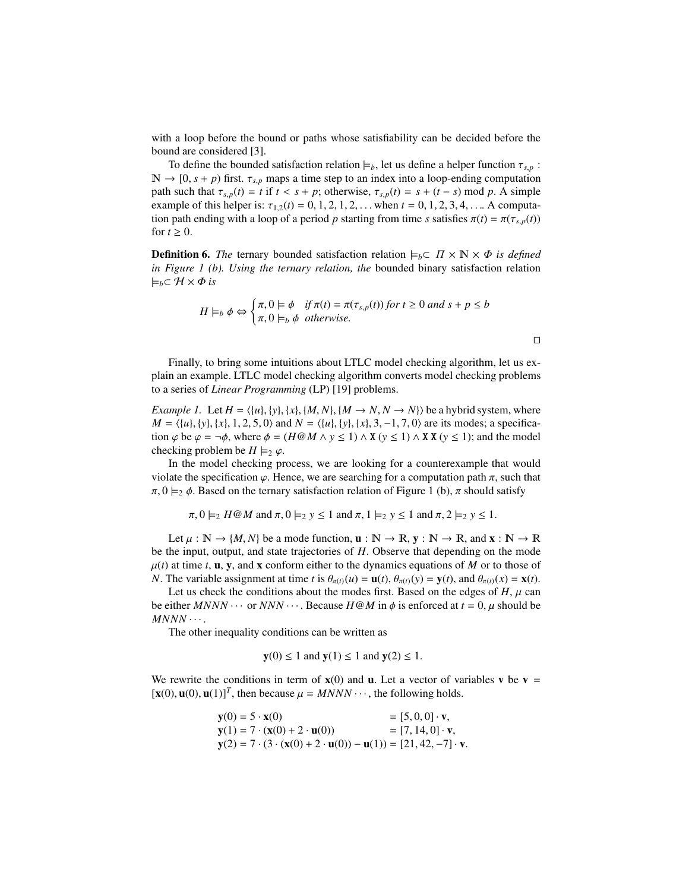with a loop before the bound or paths whose satisfiability can be decided before the bound are considered [3].

To define the bounded satisfaction relation  $\models_b$ , let us define a helper function  $\tau_{s,p}$ :  $\mathbb{N} \to [0, s + p)$  first.  $\tau_{s,p}$  maps a time step to an index into a loop-ending computation path such that  $\tau_{s,p}(t) = t$  if  $t < s + p$ ; otherwise,  $\tau_{s,p}(t) = s + (t - s) \mod p$ . A simple example of this helper is:  $\tau_{1,2}(t) = 0, 1, 2, 1, 2, ...$  when  $t = 0, 1, 2, 3, 4, ...$  A computation path ending with a loop of a period *p* starting from time *s* satisfies  $\pi(t) = \pi(\tau_{s,p}(t))$ for  $t \geq 0$ .

**Definition 6.** *The* ternary bounded satisfaction relation  $\models_b \subset \Pi \times \mathbb{N} \times \Phi$  is defined *in Figure 1 (b). Using the ternary relation, the* bounded binary satisfaction relation  $\models_b ⊂$  H ×  $\Phi$  *is* 

$$
H \models_b \phi \Leftrightarrow \begin{cases} \pi, 0 \models \phi & \text{if } \pi(t) = \pi(\tau_{s,p}(t)) \text{ for } t \ge 0 \text{ and } s + p \le b \\ \pi, 0 \models_b \phi & \text{otherwise.} \end{cases}
$$

⊓⊔

Finally, to bring some intuitions about LTLC model checking algorithm, let us explain an example. LTLC model checking algorithm converts model checking problems to a series of *Linear Programming* (LP) [19] problems.

*Example 1.* Let  $H = \{ \{u\}, \{y\}, \{x\}, \{M, N\}, \{M \rightarrow N, N \rightarrow N\} \}$  be a hybrid system, where  $M = \langle \{u\}, \{y\}, \{x\}, 1, 2, 5, 0 \rangle$  and  $N = \langle \{u\}, \{y\}, \{x\}, 3, -1, 7, 0 \rangle$  are its modes; a specification  $\varphi$  be  $\varphi = \neg \phi$ , where  $\phi = (H \mathcal{Q} M \land y \le 1) \land X (y \le 1) \land X X (y \le 1)$ ; and the model checking problem be  $H \models_2 \varphi$ .

In the model checking process, we are looking for a counterexample that would violate the specification  $\varphi$ . Hence, we are searching for a computation path  $\pi$ , such that  $\pi$ ,  $0 \models_2 \phi$ . Based on the ternary satisfaction relation of Figure 1 (b),  $\pi$  should satisfy

 $\pi$ ,  $0 \models_2 H \mathcal{Q}M$  and  $\pi$ ,  $0 \models_2 y \le 1$  and  $\pi$ ,  $1 \models_2 y \le 1$  and  $\pi$ ,  $2 \models_2 y \le 1$ .

Let  $\mu : \mathbb{N} \to \{M, N\}$  be a mode function,  $\mathbf{u} : \mathbb{N} \to \mathbb{R}$ ,  $\mathbf{y} : \mathbb{N} \to \mathbb{R}$ , and  $\mathbf{x} : \mathbb{N} \to \mathbb{R}$ be the input, output, and state trajectories of *H*. Observe that depending on the mode  $\mu(t)$  at time *t*, **u**, **y**, and **x** conform either to the dynamics equations of *M* or to those of *N*. The variable assignment at time *t* is  $\theta_{\pi(t)}(u) = \mathbf{u}(t)$ ,  $\theta_{\pi(t)}(y) = \mathbf{y}(t)$ , and  $\theta_{\pi(t)}(x) = \mathbf{x}(t)$ .

Let us check the conditions about the modes first. Based on the edges of  $H$ ,  $\mu$  can be either  $MNNN \cdots$  or  $NNN \cdots$ . Because  $H \otimes M$  in  $\phi$  is enforced at  $t = 0$ ,  $\mu$  should be *MNNN* · · · .

The other inequality conditions can be written as

$$
y(0) \le 1
$$
 and  $y(1) \le 1$  and  $y(2) \le 1$ .

We rewrite the conditions in term of  $\mathbf{x}(0)$  and **u**. Let a vector of variables **v** be **v** =  $[\mathbf{x}(0), \mathbf{u}(0), \mathbf{u}(1)]^T$ , then because  $\mu = MNNN \cdots$ , the following holds.

$$
\begin{array}{ll}\n\mathbf{y}(0) = 5 \cdot \mathbf{x}(0) &= [5, 0, 0] \cdot \mathbf{v}, \\
\mathbf{y}(1) = 7 \cdot (\mathbf{x}(0) + 2 \cdot \mathbf{u}(0)) &= [7, 14, 0] \cdot \mathbf{v}, \\
\mathbf{y}(2) = 7 \cdot (3 \cdot (\mathbf{x}(0) + 2 \cdot \mathbf{u}(0)) - \mathbf{u}(1)) = [21, 42, -7] \cdot \mathbf{v}.\n\end{array}
$$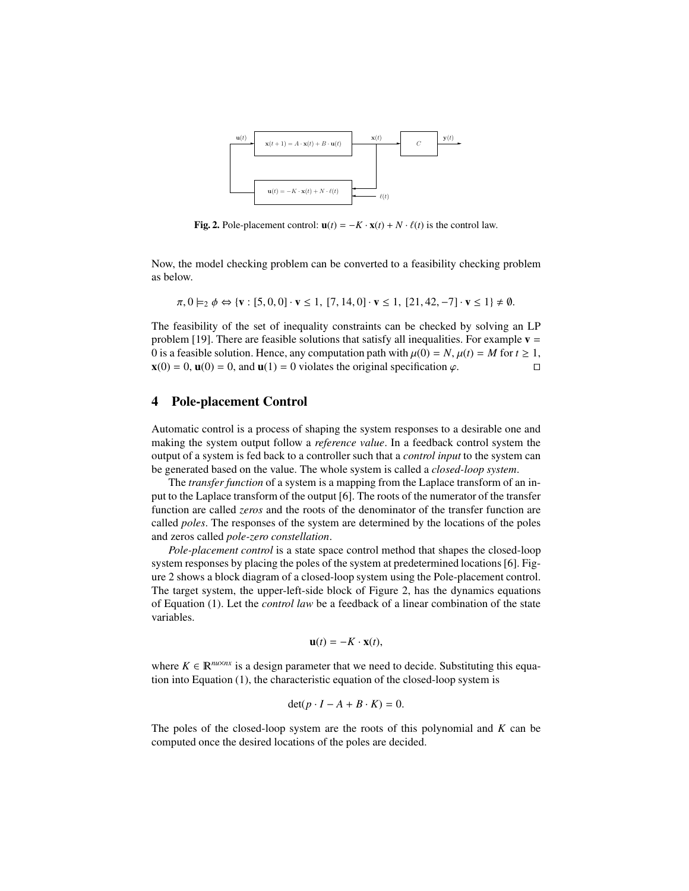

Fig. 2. Pole-placement control:  $u(t) = -K \cdot x(t) + N \cdot \ell(t)$  is the control law.

Now, the model checking problem can be converted to a feasibility checking problem as below.

$$
\pi, 0 \models_2 \phi \Leftrightarrow \{v : [5, 0, 0] \cdot v \le 1, [7, 14, 0] \cdot v \le 1, [21, 42, -7] \cdot v \le 1\} \neq \emptyset.
$$

The feasibility of the set of inequality constraints can be checked by solving an LP problem [19]. There are feasible solutions that satisfy all inequalities. For example  $v =$ 0 is a feasible solution. Hence, any computation path with  $\mu(0) = N$ ,  $\mu(t) = M$  for  $t \ge 1$ ,  $\mathbf{x}(0) = 0$ ,  $\mathbf{u}(0) = 0$ , and  $\mathbf{u}(1) = 0$  violates the original specification  $\varphi$ . □

# 4 Pole-placement Control

Automatic control is a process of shaping the system responses to a desirable one and making the system output follow a *reference value*. In a feedback control system the output of a system is fed back to a controller such that a *control input* to the system can be generated based on the value. The whole system is called a *closed-loop system*.

The *transfer function* of a system is a mapping from the Laplace transform of an input to the Laplace transform of the output [6]. The roots of the numerator of the transfer function are called *zeros* and the roots of the denominator of the transfer function are called *poles*. The responses of the system are determined by the locations of the poles and zeros called *pole-zero constellation*.

*Pole-placement control* is a state space control method that shapes the closed-loop system responses by placing the poles of the system at predetermined locations [6]. Figure 2 shows a block diagram of a closed-loop system using the Pole-placement control. The target system, the upper-left-side block of Figure 2, has the dynamics equations of Equation (1). Let the *control law* be a feedback of a linear combination of the state variables.

$$
\mathbf{u}(t) = -K \cdot \mathbf{x}(t),
$$

where  $K \in \mathbb{R}^{n \times n \times n}$  is a design parameter that we need to decide. Substituting this equation into Equation (1), the characteristic equation of the closed-loop system is

$$
\det(p \cdot I - A + B \cdot K) = 0.
$$

The poles of the closed-loop system are the roots of this polynomial and *K* can be computed once the desired locations of the poles are decided.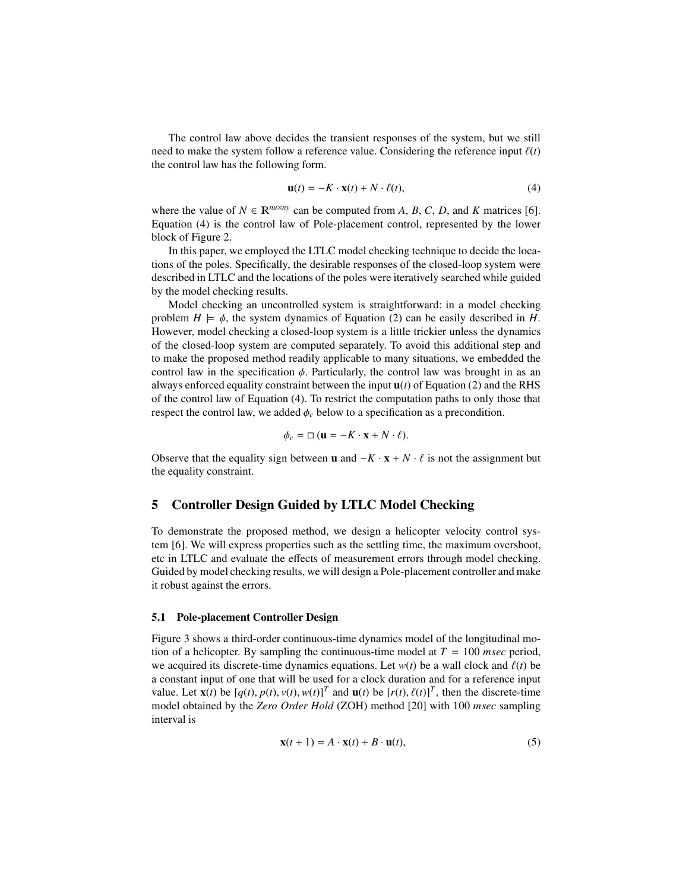The control law above decides the transient responses of the system, but we still need to make the system follow a reference value. Considering the reference input  $\ell(t)$ the control law has the following form.

$$
\mathbf{u}(t) = -K \cdot \mathbf{x}(t) + N \cdot \ell(t),\tag{4}
$$

where the value of  $N \in \mathbb{R}^{n \times n}$  can be computed from *A*, *B*, *C*, *D*, and *K* matrices [6]. Equation (4) is the control law of Pole-placement control, represented by the lower block of Figure 2.

In this paper, we employed the LTLC model checking technique to decide the locations of the poles. Specifically, the desirable responses of the closed-loop system were described in LTLC and the locations of the poles were iteratively searched while guided by the model checking results.

Model checking an uncontrolled system is straightforward: in a model checking problem  $H \models \phi$ , the system dynamics of Equation (2) can be easily described in *H*. However, model checking a closed-loop system is a little trickier unless the dynamics of the closed-loop system are computed separately. To avoid this additional step and to make the proposed method readily applicable to many situations, we embedded the control law in the specification  $\phi$ . Particularly, the control law was brought in as an always enforced equality constraint between the input  $u(t)$  of Equation (2) and the RHS of the control law of Equation (4). To restrict the computation paths to only those that respect the control law, we added  $\phi_c$  below to a specification as a precondition.

$$
\phi_c = \Box (\mathbf{u} = -K \cdot \mathbf{x} + N \cdot \ell).
$$

Observe that the equality sign between **u** and  $-K \cdot x + N \cdot \ell$  is not the assignment but the equality constraint.

### 5 Controller Design Guided by LTLC Model Checking

To demonstrate the proposed method, we design a helicopter velocity control system [6]. We will express properties such as the settling time, the maximum overshoot, etc in LTLC and evaluate the effects of measurement errors through model checking. Guided by model checking results, we will design a Pole-placement controller and make it robust against the errors.

#### 5.1 Pole-placement Controller Design

Figure 3 shows a third-order continuous-time dynamics model of the longitudinal motion of a helicopter. By sampling the continuous-time model at  $T = 100$  *msec* period, we acquired its discrete-time dynamics equations. Let  $w(t)$  be a wall clock and  $\ell(t)$  be a constant input of one that will be used for a clock duration and for a reference input value. Let  $\mathbf{x}(t)$  be  $[q(t), p(t), v(t), w(t)]^T$  and  $\mathbf{u}(t)$  be  $[r(t), \ell(t)]^T$ , then the discrete-time model obtained by the *Zero Order Hold* (ZOH) method [20] with 100 *msec* sampling interval is

$$
\mathbf{x}(t+1) = A \cdot \mathbf{x}(t) + B \cdot \mathbf{u}(t),\tag{5}
$$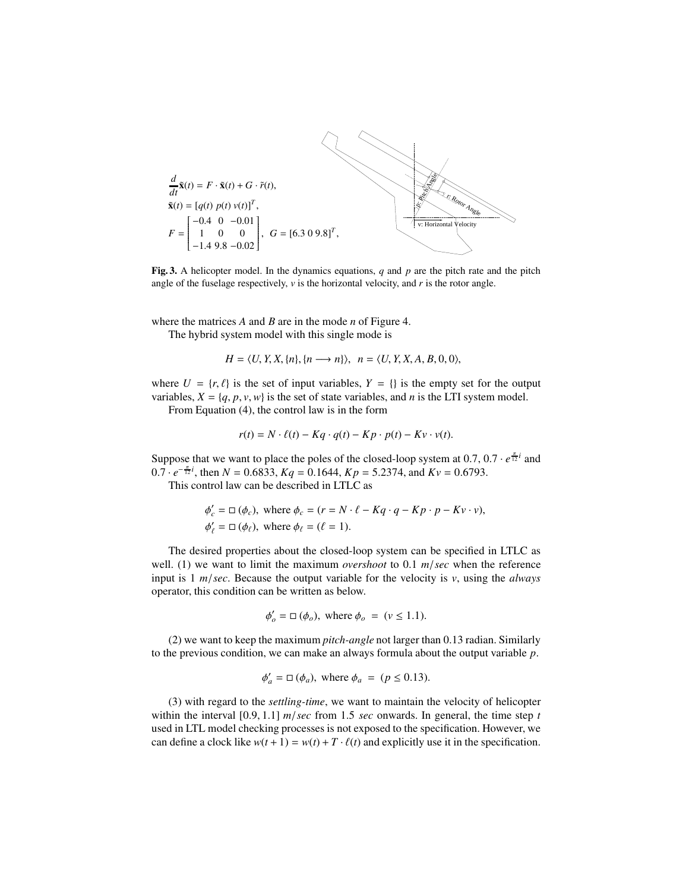

Fig. 3. A helicopter model. In the dynamics equations, *q* and *p* are the pitch rate and the pitch angle of the fuselage respectively, *v* is the horizontal velocity, and *r* is the rotor angle.

where the matrices *A* and *B* are in the mode *n* of Figure 4.

The hybrid system model with this single mode is

$$
H = \langle U, Y, X, \{n\}, \{n \longrightarrow n\} \rangle, \ \ n = \langle U, Y, X, A, B, 0, 0 \rangle,
$$

where  $U = \{r, \ell\}$  is the set of input variables,  $Y = \{\}$  is the empty set for the output variables,  $X = \{q, p, v, w\}$  is the set of state variables, and *n* is the LTI system model.

From Equation (4), the control law is in the form

$$
r(t) = N \cdot \ell(t) - Kq \cdot q(t) - Kp \cdot p(t) - Kv \cdot v(t).
$$

Suppose that we want to place the poles of the closed-loop system at  $0.7, 0.7 \cdot e^{\frac{\pi}{12}i}$  and  $0.\overline{7} \cdot e^{-\frac{\pi}{12}i}$ , then  $N = 0.6833$ ,  $Kq = 0.1644$ ,  $Kp = 5.2374$ , and  $Kv = 0.6793$ .

This control law can be described in LTLC as

$$
\phi'_c = \Box (\phi_c), \text{ where } \phi_c = (r = N \cdot \ell - Kq \cdot q - Kp \cdot p - Kv \cdot v),
$$
  

$$
\phi'_\ell = \Box (\phi_\ell), \text{ where } \phi_\ell = (\ell = 1).
$$

The desired properties about the closed-loop system can be specified in LTLC as well. (1) we want to limit the maximum *overshoot* to 0.1 *m*/*sec* when the reference input is 1 *m*/*sec*. Because the output variable for the velocity is *v*, using the *always* operator, this condition can be written as below.

$$
\phi'_{o} = \Box (\phi_{o}), \text{ where } \phi_{o} = (\nu \le 1.1).
$$

(2) we want to keep the maximum *pitch-angle* not larger than 0.13 radian. Similarly to the previous condition, we can make an always formula about the output variable *p*.

$$
\phi'_a = \Box (\phi_a), \text{ where } \phi_a = (p \le 0.13).
$$

(3) with regard to the *settling-time*, we want to maintain the velocity of helicopter within the interval [0.9, 1.1] *m*/*sec* from 1.5 *sec* onwards. In general, the time step *t* used in LTL model checking processes is not exposed to the specification. However, we can define a clock like  $w(t + 1) = w(t) + T \cdot \ell(t)$  and explicitly use it in the specification.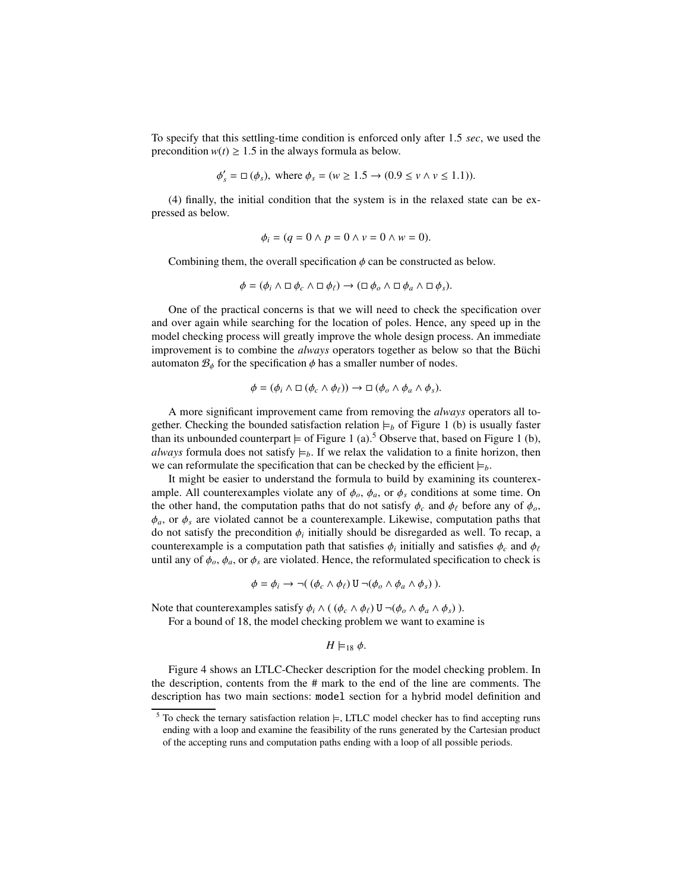To specify that this settling-time condition is enforced only after 1.5 *sec*, we used the precondition  $w(t) \geq 1.5$  in the always formula as below.

$$
\phi'_{s} = \Box (\phi_{s}), \text{ where } \phi_{s} = (w \ge 1.5 \rightarrow (0.9 \le v \land v \le 1.1)).
$$

(4) finally, the initial condition that the system is in the relaxed state can be expressed as below.

$$
\phi_i = (q = 0 \land p = 0 \land v = 0 \land w = 0).
$$

Combining them, the overall specification  $\phi$  can be constructed as below.

$$
\phi = (\phi_i \wedge \Box \phi_c \wedge \Box \phi_\ell) \rightarrow (\Box \phi_o \wedge \Box \phi_a \wedge \Box \phi_s).
$$

One of the practical concerns is that we will need to check the specification over and over again while searching for the location of poles. Hence, any speed up in the model checking process will greatly improve the whole design process. An immediate improvement is to combine the *always* operators together as below so that the Büchi automaton  $\mathcal{B}_{\phi}$  for the specification  $\phi$  has a smaller number of nodes.

$$
\phi = (\phi_i \wedge \Box (\phi_c \wedge \phi_{\ell})) \rightarrow \Box (\phi_o \wedge \phi_a \wedge \phi_s).
$$

A more significant improvement came from removing the *always* operators all together. Checking the bounded satisfaction relation  $\models_b$  of Figure 1 (b) is usually faster than its unbounded counterpart  $\models$  of Figure 1 (a).<sup>5</sup> Observe that, based on Figure 1 (b), *always* formula does not satisfy  $\models_b$ . If we relax the validation to a finite horizon, then we can reformulate the specification that can be checked by the efficient  $\models$ *b*.

It might be easier to understand the formula to build by examining its counterexample. All counterexamples violate any of  $\phi_o$ ,  $\phi_a$ , or  $\phi_s$  conditions at some time. On the other hand, the computation paths that do not satisfy  $\phi_c$  and  $\phi_\ell$  before any of  $\phi_o$ ,  $\phi_a$ , or  $\phi_s$  are violated cannot be a counterexample. Likewise, computation paths that do not satisfy the precondition  $\phi_i$  initially should be disregarded as well. To recap, a counterexample is a computation path that satisfies  $\phi_i$  initially and satisfies  $\phi_c$  and  $\phi_\ell$ until any of  $\phi_o$ ,  $\phi_a$ , or  $\phi_s$  are violated. Hence, the reformulated specification to check is

$$
\phi = \phi_i \to \neg((\phi_c \land \phi_\ell) \mathbf{U} \neg (\phi_o \land \phi_a \land \phi_s)).
$$

Note that counterexamples satisfy  $\phi_i \wedge ((\phi_c \wedge \phi_f) \mathbf{U} \neg (\phi_o \wedge \phi_a \wedge \phi_s)).$ 

For a bound of 18, the model checking problem we want to examine is

$$
H \models_{18} \phi.
$$

Figure 4 shows an LTLC-Checker description for the model checking problem. In the description, contents from the # mark to the end of the line are comments. The description has two main sections: model section for a hybrid model definition and

 $5$  To check the ternary satisfaction relation  $\models$ , LTLC model checker has to find accepting runs ending with a loop and examine the feasibility of the runs generated by the Cartesian product of the accepting runs and computation paths ending with a loop of all possible periods.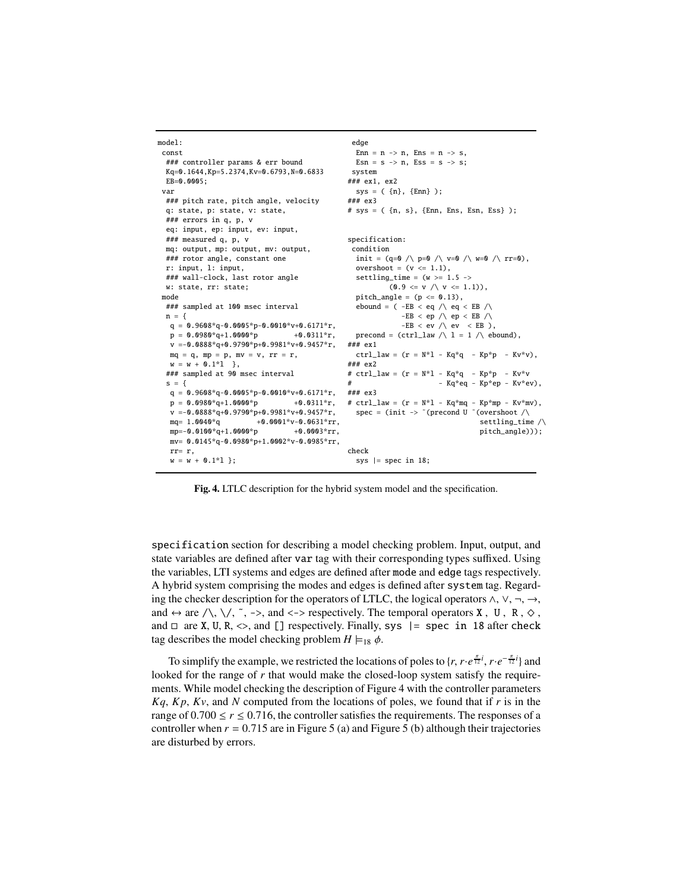```
model:
const
  ### controller params & err bound
  Kq=0.1644,Kp=5.2374,Kv=0.6793,N=0.6833
 EB=0.0005;
var
 ### pitch rate, pitch angle, velocity
  q: state, p: state, v: state,
  ### errors in q, p, v
  eq: input, ep: input, ev: input,
  ### measured q, p, v
  mq: output, mp: output, mv: output,
  ### rotor angle, constant one
 r: input, l: input,
  ### wall-clock, last rotor angle
 w: state, rr: state;
mode
 ### sampled at 100 msec interval
 n = fq = 0.9608*q-0.0005*p-0.0010*v+0.6171*r,
  p = 0.0980*q+1.0000*pv = -0.0888*q+0.9790*p+0.9981*v+0.9457*r,
  mq = q, mp = p, mv = v, rr = r,
   w = w + 0.1*1 \quad \},### sampled at 90 msec interval
  s = fq = 0.9608*q-0.0005*p-0.0010*v+0.6171* r, # # # ex3p = 0.0980 * q + 1.0000 * p +0.0311 * r,
   v =-0.0888*q+0.9790*p+0.9981*v+0.9457*r,<br>mq= 1.0040*q +0.0001*v-0.0631*rr,
                         +0.0001*v-0.0631*rr,mp=-0.0100*q+1.0000*p +0.0003*rr,
   mv= 0.0145*q-0.0980*p+1.0002*v-0.0985*rr,
   rr= r,
   w = w + 0.1*1 };
                                                  edge
                                                   Enn = n \rightarrow n. Ens = n \rightarrow s.
                                                   Esn = s -> n, Ess = s -> s;
                                                  system
                                                 ### ex1, ex2
                                                  sys = ( {n}, {Enn} );
                                                 ### ex3
                                                 # sys = ( {n, s}, {Enn, Ens, Esn, Ess} );
                                                 specification:
                                                  condition
                                                   init = (q=0 \land p=0 \land v=0 \land w=0 \land rr=0),
                                                   overshoot = (v \le 1.1),
                                                   settling_time = (w \ge 1.5 ->
                                                           (0.9 \leq v / \sqrt{v} \leq 1.1)),pitch\_angle = (p \Leftarrow 0.13),
                                                   ebound = ( -EB < eq /\ eq < EB /\
                                                               -EB < ep /\ ep < EB /\
                                                               -EB < ev /\ ev < EB ),
                                                   precond = ctrl_law \wedge 1 = 1 \wedge ebound),
                                                 ### ex1
                                                  ctrl law = (r = N^*l - Ka^*q - Kn^*p - Kv^*v).
                                                 ### ex2
                                                 # ctrl_law = (r = N^*l - Kq^*q - Kp^*p - Kv^*v)- Kq<sup>*</sup>eq - Kp<sup>*</sup>ep - Kv<sup>*</sup>ev),
                                                 # ctrl_law = (r = N^*l - Kq^*mq - Kp^*mp - Kv^*mv),
                                                   spec = (init -> ~ (precond U ~ (overshoot \wedgesettling_time /\
                                                                                    pitch_angle)));
                                                 check
                                                   sys |= spec in 18;
```
Fig. 4. LTLC description for the hybrid system model and the specification.

specification section for describing a model checking problem. Input, output, and state variables are defined after var tag with their corresponding types suffixed. Using the variables, LTI systems and edges are defined after mode and edge tags respectively. A hybrid system comprising the modes and edges is defined after system tag. Regarding the checker description for the operators of LTLC, the logical operators  $\land$ ,  $\lor$ ,  $\neg$ ,  $\rightarrow$ , and  $\leftrightarrow$  are  $\land$ ,  $\land$ ,  $\land$ ,  $\check{\ }$ ,  $\Rightarrow$ , and  $\check{\ }$  -> respectively. The temporal operators **X**, **U**, **R**,  $\diamond$ , and  $\Box$  are X, U, R,  $\Leftrightarrow$ , and [] respectively. Finally, sys  $\vert =$  spec in 18 after check tag describes the model checking problem  $H \models_{18} \phi$ .

To simplify the example, we restricted the locations of poles to  $\{r, r \cdot e^{\frac{\pi}{12}i}, r \cdot e^{-\frac{\pi}{12}i}\}$  and looked for the range of *r* that would make the closed-loop system satisfy the requirements. While model checking the description of Figure 4 with the controller parameters *Kq*, *K p*, *Kv*, and *N* computed from the locations of poles, we found that if *r* is in the range of  $0.700 \le r \le 0.716$ , the controller satisfies the requirements. The responses of a controller when  $r = 0.715$  are in Figure 5 (a) and Figure 5 (b) although their trajectories are disturbed by errors.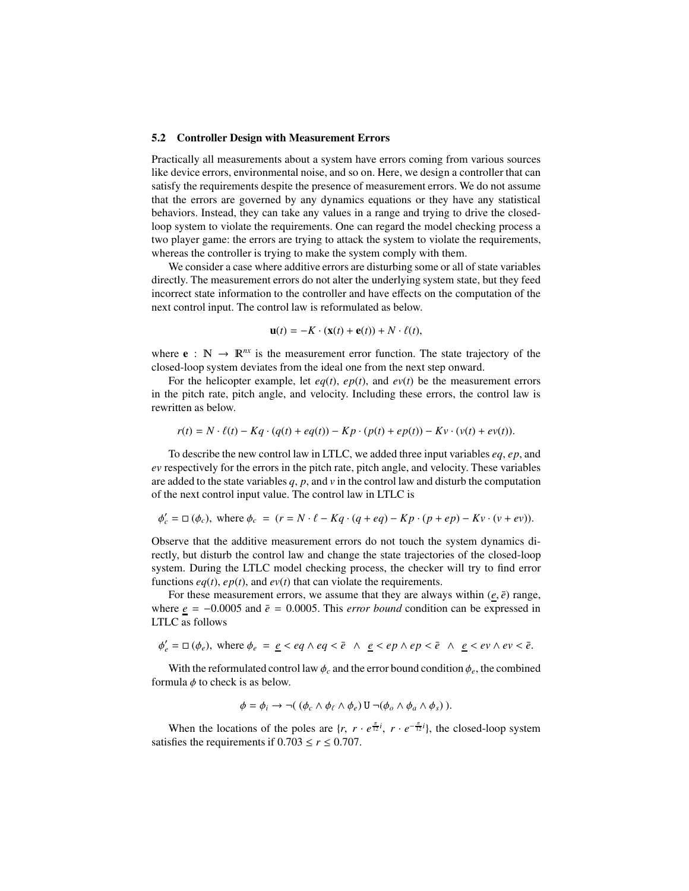#### 5.2 Controller Design with Measurement Errors

Practically all measurements about a system have errors coming from various sources like device errors, environmental noise, and so on. Here, we design a controller that can satisfy the requirements despite the presence of measurement errors. We do not assume that the errors are governed by any dynamics equations or they have any statistical behaviors. Instead, they can take any values in a range and trying to drive the closedloop system to violate the requirements. One can regard the model checking process a two player game: the errors are trying to attack the system to violate the requirements, whereas the controller is trying to make the system comply with them.

We consider a case where additive errors are disturbing some or all of state variables directly. The measurement errors do not alter the underlying system state, but they feed incorrect state information to the controller and have effects on the computation of the next control input. The control law is reformulated as below.

$$
\mathbf{u}(t) = -K \cdot (\mathbf{x}(t) + \mathbf{e}(t)) + N \cdot \ell(t),
$$

where  $e : \mathbb{N} \to \mathbb{R}^{nx}$  is the measurement error function. The state trajectory of the closed-loop system deviates from the ideal one from the next step onward.

For the helicopter example, let  $eq(t)$ ,  $ep(t)$ , and  $ev(t)$  be the measurement errors in the pitch rate, pitch angle, and velocity. Including these errors, the control law is rewritten as below.

$$
r(t) = N \cdot \ell(t) - Kq \cdot (q(t) + eq(t)) - Kp \cdot (p(t) + ep(t)) - Kv \cdot (v(t) + ev(t)).
$$

To describe the new control law in LTLC, we added three input variables *eq*, *ep*, and *ev* respectively for the errors in the pitch rate, pitch angle, and velocity. These variables are added to the state variables *q*, *p*, and *v* in the control law and disturb the computation of the next control input value. The control law in LTLC is

$$
\phi'_c = \Box (\phi_c), \text{ where } \phi_c = (r = N \cdot \ell - Kq \cdot (q + eq) - Kp \cdot (p + ep) - Kv \cdot (v + ev)).
$$

Observe that the additive measurement errors do not touch the system dynamics directly, but disturb the control law and change the state trajectories of the closed-loop system. During the LTLC model checking process, the checker will try to find error functions  $eq(t)$ ,  $ep(t)$ , and  $ev(t)$  that can violate the requirements.

For these measurement errors, we assume that they are always within  $(e, \bar{e})$  range, where  $e = -0.0005$  and  $\bar{e} = 0.0005$ . This *error bound* condition can be expressed in LTLC as follows

$$
\phi'_e = \Box (\phi_e), \text{ where } \phi_e = \underline{e} < \underline{e}q \land \underline{e}q < \overline{e} \land \underline{e} < \underline{e}p \land \underline{e}p < \overline{e} \land \underline{e} < \underline{e}v \land \underline{e}v < \overline{e}.
$$

With the reformulated control law  $\phi_c$  and the error bound condition  $\phi_e$ , the combined formula  $\phi$  to check is as below.

$$
\phi = \phi_i \to \neg((\phi_c \land \phi_\ell \land \phi_e) \mathbf{U} \neg(\phi_o \land \phi_a \land \phi_s)).
$$

When the locations of the poles are  $\{r, r \cdot e^{\frac{\pi}{12}i}, r \cdot e^{-\frac{\pi}{12}i}\}$ , the closed-loop system satisfies the requirements if  $0.703 \le r \le 0.707$ .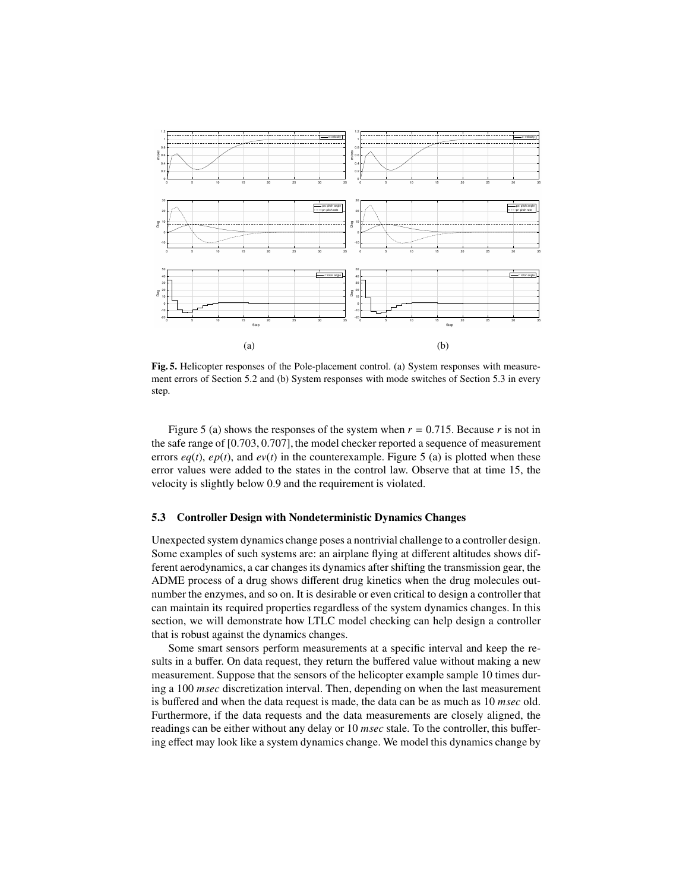

Fig. 5. Helicopter responses of the Pole-placement control. (a) System responses with measurement errors of Section 5.2 and (b) System responses with mode switches of Section 5.3 in every step.

Figure 5 (a) shows the responses of the system when  $r = 0.715$ . Because r is not in the safe range of [0.703, 0.707], the model checker reported a sequence of measurement errors  $eq(t)$ ,  $ep(t)$ , and  $ev(t)$  in the counterexample. Figure 5 (a) is plotted when these error values were added to the states in the control law. Observe that at time 15, the velocity is slightly below 0.9 and the requirement is violated.

#### 5.3 Controller Design with Nondeterministic Dynamics Changes

Unexpected system dynamics change poses a nontrivial challenge to a controller design. Some examples of such systems are: an airplane flying at different altitudes shows different aerodynamics, a car changes its dynamics after shifting the transmission gear, the ADME process of a drug shows different drug kinetics when the drug molecules outnumber the enzymes, and so on. It is desirable or even critical to design a controller that can maintain its required properties regardless of the system dynamics changes. In this section, we will demonstrate how LTLC model checking can help design a controller that is robust against the dynamics changes.

Some smart sensors perform measurements at a specific interval and keep the results in a buffer. On data request, they return the buffered value without making a new measurement. Suppose that the sensors of the helicopter example sample 10 times during a 100 *msec* discretization interval. Then, depending on when the last measurement is buffered and when the data request is made, the data can be as much as 10 *msec* old. Furthermore, if the data requests and the data measurements are closely aligned, the readings can be either without any delay or 10 *msec* stale. To the controller, this buffering effect may look like a system dynamics change. We model this dynamics change by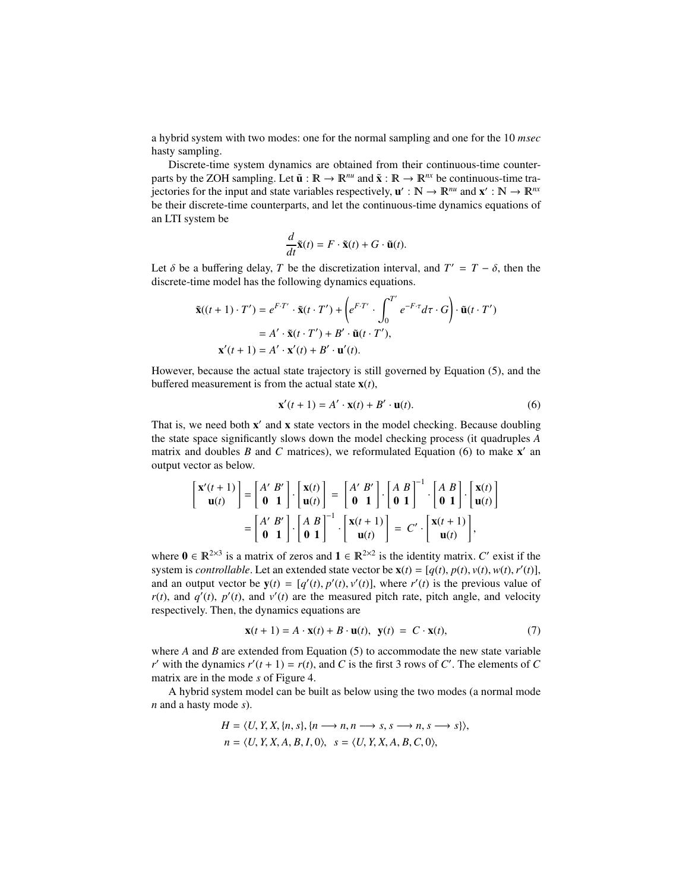a hybrid system with two modes: one for the normal sampling and one for the 10 *msec* hasty sampling.

Discrete-time system dynamics are obtained from their continuous-time counterparts by the ZOH sampling. Let  $\tilde{u}: \mathbb{R} \to \mathbb{R}^{nu}$  and  $\tilde{x}: \mathbb{R} \to \mathbb{R}^{nu}$  be continuous-time trajectories for the input and state variables respectively,  $\mathbf{u}' : \mathbb{N} \to \mathbb{R}^{n}$  and  $\mathbf{x}' : \mathbb{N} \to \mathbb{R}^{n}$ be their discrete-time counterparts, and let the continuous-time dynamics equations of an LTI system be

$$
\frac{d}{dt}\tilde{\mathbf{x}}(t) = F \cdot \tilde{\mathbf{x}}(t) + G \cdot \tilde{\mathbf{u}}(t).
$$

Let  $\delta$  be a buffering delay, *T* be the discretization interval, and  $T' = T - \delta$ , then the discrete-time model has the following dynamics equations.

$$
\tilde{\mathbf{x}}((t+1)\cdot T') = e^{F\cdot T'} \cdot \tilde{\mathbf{x}}(t\cdot T') + \left(e^{F\cdot T'} \cdot \int_0^{T'} e^{-F\cdot \tau} d\tau \cdot G\right) \cdot \tilde{\mathbf{u}}(t\cdot T')
$$
  
=  $A' \cdot \tilde{\mathbf{x}}(t\cdot T') + B' \cdot \tilde{\mathbf{u}}(t\cdot T'),$   
 $\mathbf{x}'(t+1) = A' \cdot \mathbf{x}'(t) + B' \cdot \mathbf{u}'(t).$ 

However, because the actual state trajectory is still governed by Equation (5), and the buffered measurement is from the actual state  $\mathbf{x}(t)$ ,

$$
\mathbf{x}'(t+1) = A' \cdot \mathbf{x}(t) + B' \cdot \mathbf{u}(t). \tag{6}
$$

That is, we need both x' and x state vectors in the model checking. Because doubling the state space significantly slows down the model checking process (it quadruples *A* matrix and doubles  $B$  and  $C$  matrices), we reformulated Equation (6) to make  $x'$  and output vector as below.

$$
\begin{bmatrix} \mathbf{x}'(t+1) \\ \mathbf{u}(t) \end{bmatrix} = \begin{bmatrix} A' & B' \\ \mathbf{0} & 1 \end{bmatrix} \cdot \begin{bmatrix} \mathbf{x}(t) \\ \mathbf{u}(t) \end{bmatrix} = \begin{bmatrix} A' & B' \\ \mathbf{0} & 1 \end{bmatrix} \cdot \begin{bmatrix} A & B \\ \mathbf{0} & 1 \end{bmatrix} \cdot \begin{bmatrix} A & B \\ \mathbf{0} & 1 \end{bmatrix} \cdot \begin{bmatrix} \mathbf{x}(t) \\ \mathbf{u}(t) \end{bmatrix}
$$

$$
= \begin{bmatrix} A' & B' \\ \mathbf{0} & 1 \end{bmatrix} \cdot \begin{bmatrix} A & B \\ \mathbf{0} & 1 \end{bmatrix}^{-1} \cdot \begin{bmatrix} \mathbf{x}(t+1) \\ \mathbf{u}(t) \end{bmatrix} = C' \cdot \begin{bmatrix} \mathbf{x}(t+1) \\ \mathbf{u}(t) \end{bmatrix},
$$

where  $0 \in \mathbb{R}^{2\times 3}$  is a matrix of zeros and  $1 \in \mathbb{R}^{2\times 2}$  is the identity matrix. *C'* exist if the system is *controllable*. Let an extended state vector be  $\mathbf{x}(t) = [q(t), p(t), v(t), w(t), r'(t)]$ , and an output vector be  $y(t) = [q'(t), p'(t), v'(t)]$ , where  $r'(t)$  is the previous value of  $r(t)$ , and  $q'(t)$ ,  $p'(t)$ , and  $v'(t)$  are the measured pitch rate, pitch angle, and velocity respectively. Then, the dynamics equations are

$$
\mathbf{x}(t+1) = A \cdot \mathbf{x}(t) + B \cdot \mathbf{u}(t), \ \mathbf{y}(t) = C \cdot \mathbf{x}(t), \tag{7}
$$

where  $A$  and  $B$  are extended from Equation (5) to accommodate the new state variable *r*<sup> $r$ </sup> with the dynamics  $r'(t + 1) = r(t)$ , and *C* is the first 3 rows of *C*'. The elements of *C* matrix are in the mode *s* of Figure 4.

A hybrid system model can be built as below using the two modes (a normal mode *n* and a hasty mode *s*).

$$
H = \langle U, Y, X, \{n, s\}, \{n \longrightarrow n, n \longrightarrow s, s \longrightarrow n, s \longrightarrow s\} \rangle,
$$
  

$$
n = \langle U, Y, X, A, B, I, 0 \rangle, s = \langle U, Y, X, A, B, C, 0 \rangle,
$$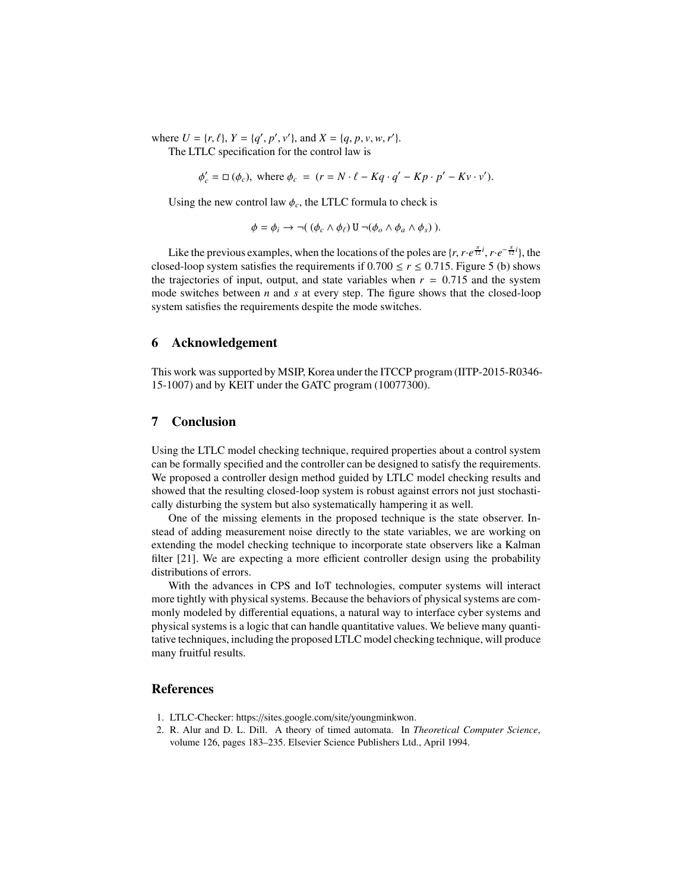where  $U = \{r, \ell\}, Y = \{q', p', v'\}, \text{ and } X = \{q, p, v, w, r'\}.$ The LTLC specification for the control law is

 $\phi'_c = \Box (\phi_c)$ , where  $\phi_c = (r = N \cdot \ell - Kq \cdot q' - Kp \cdot p' - Kv \cdot v')$ .

Using the new control law  $\phi_c$ , the LTLC formula to check is

$$
\phi = \phi_i \to \neg((\phi_c \land \phi_\ell) \mathbf{U} \neg (\phi_o \land \phi_a \land \phi_s)).
$$

Like the previous examples, when the locations of the poles are  $\{r, r \cdot e^{\frac{\pi}{12}i}, r \cdot e^{-\frac{\pi}{12}i}\}$ , the closed-loop system satisfies the requirements if  $0.700 \le r \le 0.715$ . Figure 5 (b) shows the trajectories of input, output, and state variables when  $r = 0.715$  and the system mode switches between *n* and *s* at every step. The figure shows that the closed-loop system satisfies the requirements despite the mode switches.

### 6 Acknowledgement

This work was supported by MSIP, Korea under the ITCCP program (IITP-2015-R0346- 15-1007) and by KEIT under the GATC program (10077300).

# 7 Conclusion

Using the LTLC model checking technique, required properties about a control system can be formally specified and the controller can be designed to satisfy the requirements. We proposed a controller design method guided by LTLC model checking results and showed that the resulting closed-loop system is robust against errors not just stochastically disturbing the system but also systematically hampering it as well.

One of the missing elements in the proposed technique is the state observer. Instead of adding measurement noise directly to the state variables, we are working on extending the model checking technique to incorporate state observers like a Kalman filter [21]. We are expecting a more efficient controller design using the probability distributions of errors.

With the advances in CPS and IoT technologies, computer systems will interact more tightly with physical systems. Because the behaviors of physical systems are commonly modeled by differential equations, a natural way to interface cyber systems and physical systems is a logic that can handle quantitative values. We believe many quantitative techniques, including the proposed LTLC model checking technique, will produce many fruitful results.

### **References**

- 1. LTLC-Checker: https://sites.google.com/site/youngminkwon.
- 2. R. Alur and D. L. Dill. A theory of timed automata. In *Theoretical Computer Science*, volume 126, pages 183–235. Elsevier Science Publishers Ltd., April 1994.